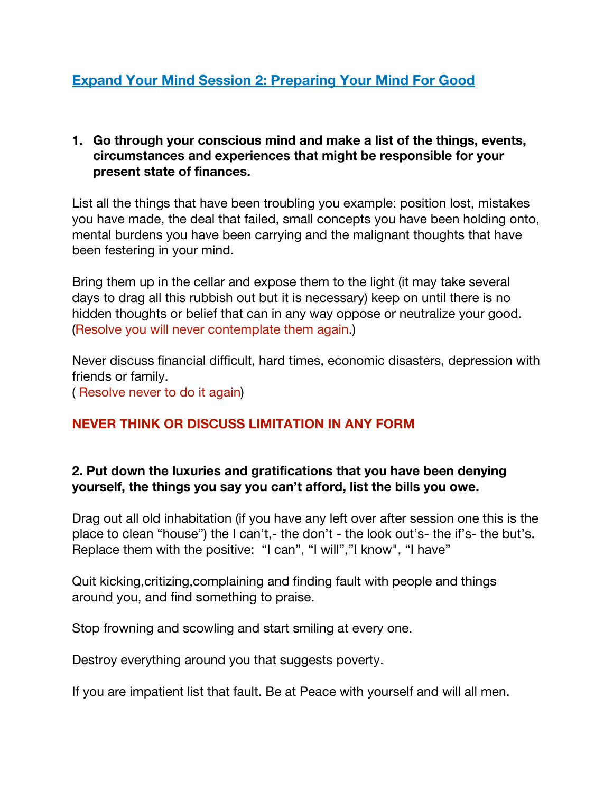#### **1. Go through your conscious mind and make a list of the things, events, circumstances and experiences that might be responsible for your present state of finances.**

List all the things that have been troubling you example: position lost, mistakes you have made, the deal that failed, small concepts you have been holding onto, mental burdens you have been carrying and the malignant thoughts that have been festering in your mind.

Bring them up in the cellar and expose them to the light (it may take several days to drag all this rubbish out but it is necessary) keep on until there is no hidden thoughts or belief that can in any way oppose or neutralize your good. (Resolve you will never contemplate them again.)

Never discuss financial difficult, hard times, economic disasters, depression with friends or family. ( Resolve never to do it again)

# **NEVER THINK OR DISCUSS LIMITATION IN ANY FORM**

#### **2. Put down the luxuries and gratifications that you have been denying yourself, the things you say you can't afford, list the bills you owe.**

Drag out all old inhabitation (if you have any left over after session one this is the place to clean "house") the I can't,- the don't - the look out's- the if's- the but's. Replace them with the positive: "I can", "I will","I know", "I have"

Quit kicking,critizing,complaining and finding fault with people and things around you, and find something to praise.

Stop frowning and scowling and start smiling at every one.

Destroy everything around you that suggests poverty.

If you are impatient list that fault. Be at Peace with yourself and will all men.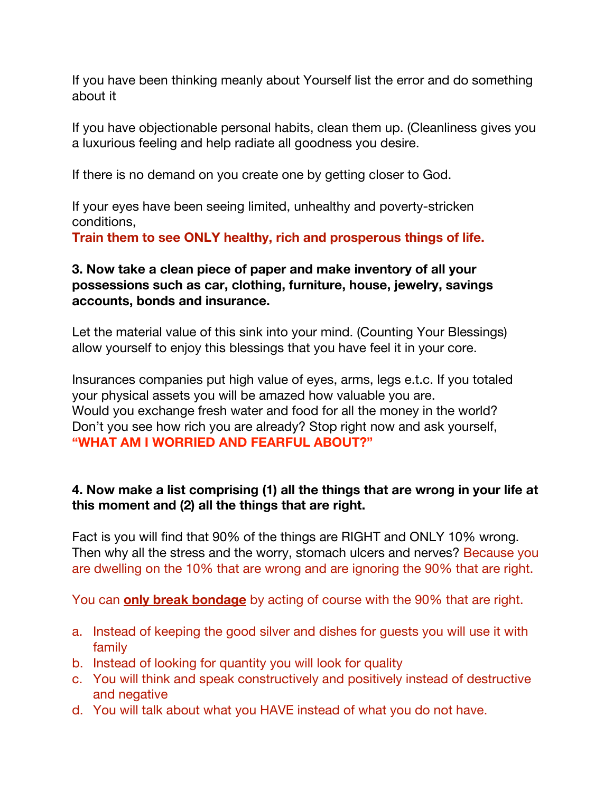If you have been thinking meanly about Yourself list the error and do something about it

If you have objectionable personal habits, clean them up. (Cleanliness gives you a luxurious feeling and help radiate all goodness you desire.

If there is no demand on you create one by getting closer to God.

If your eyes have been seeing limited, unhealthy and poverty-stricken conditions,

**Train them to see ONLY healthy, rich and prosperous things of life.**

### **3. Now take a clean piece of paper and make inventory of all your possessions such as car, clothing, furniture, house, jewelry, savings accounts, bonds and insurance.**

Let the material value of this sink into your mind. (Counting Your Blessings) allow yourself to enjoy this blessings that you have feel it in your core.

Insurances companies put high value of eyes, arms, legs e.t.c. If you totaled your physical assets you will be amazed how valuable you are. Would you exchange fresh water and food for all the money in the world? Don't you see how rich you are already? Stop right now and ask yourself, **"WHAT AM I WORRIED AND FEARFUL ABOUT?"**

#### **4. Now make a list comprising (1) all the things that are wrong in your life at this moment and (2) all the things that are right.**

Fact is you will find that 90% of the things are RIGHT and ONLY 10% wrong. Then why all the stress and the worry, stomach ulcers and nerves? Because you are dwelling on the 10% that are wrong and are ignoring the 90% that are right.

You can **only break bondage** by acting of course with the 90% that are right.

- a. Instead of keeping the good silver and dishes for guests you will use it with family
- b. Instead of looking for quantity you will look for quality
- c. You will think and speak constructively and positively instead of destructive and negative
- d. You will talk about what you HAVE instead of what you do not have.